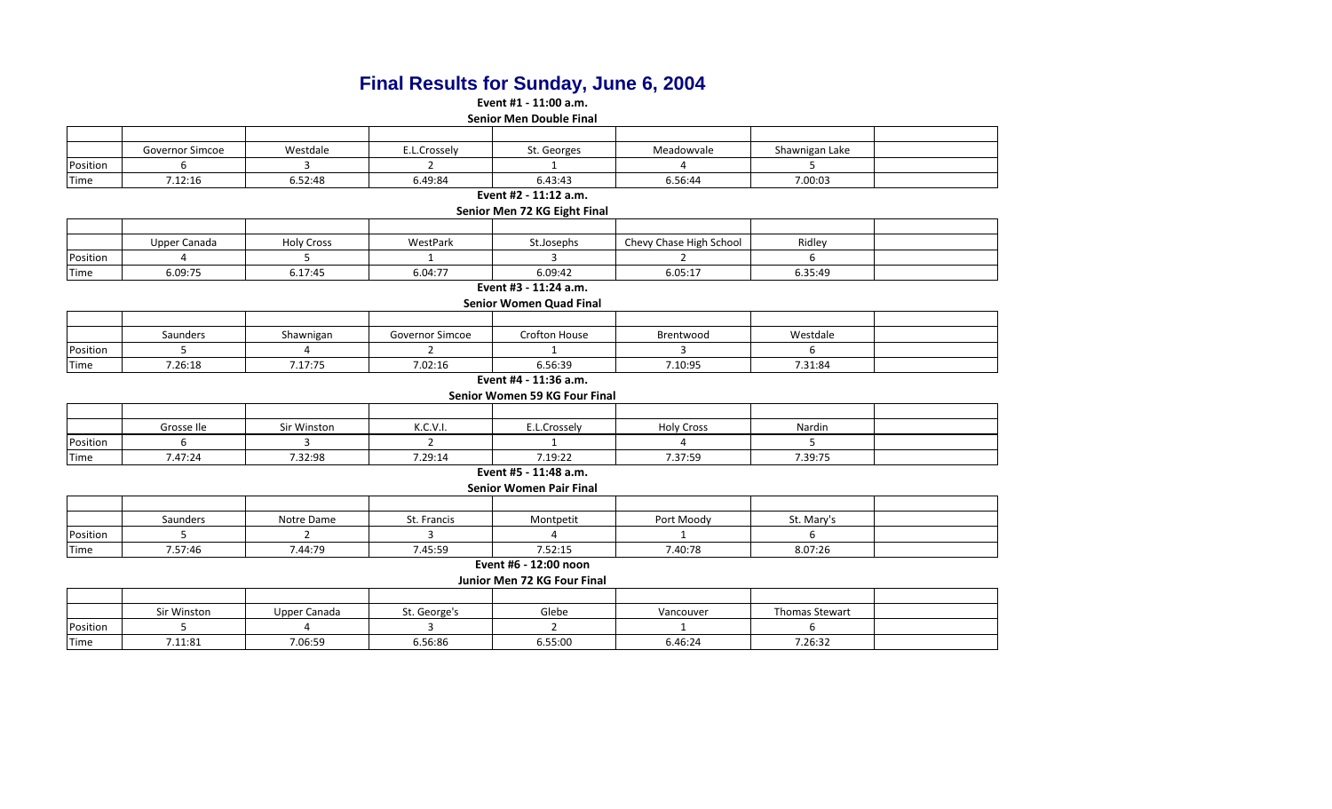# **Final Results for Sunday, June 6, 2004**

**Event #1 - 11:00 a.m.**

**Senior Men Double Final**

|          | Governor Simcoe | Westdale | c.L.Crosselv | St. Georges | Meadowvale | Shawnigan Lake |  |
|----------|-----------------|----------|--------------|-------------|------------|----------------|--|
| Position |                 |          |              |             |            |                |  |
| Time     | 7.12:16         | 6.52:48  | 6.49:84      | 6.43:43     | 6.56:44    | 7.00:03        |  |

**Event #2 - 11:12 a.m.**

**Senior Men 72 KG Eight Final**

|          | Upper Canada | <b>Holy Cross</b> | WestPark | St.Josephs | Chevy Chase High School | Ridley  |  |
|----------|--------------|-------------------|----------|------------|-------------------------|---------|--|
| Position |              |                   |          |            |                         |         |  |
| Time     | 6.09:75      | 6.17:45           | 6.04:77  | 6.09:42    | 6.05:17                 | 6.35:49 |  |

#### **Event #3 - 11:24 a.m. Senior Women Quad Final**

| Senior women Quad Final |  |
|-------------------------|--|
|                         |  |

|          | Saunders | Shawnigan | $\sim$<br>Governor Simcoe | Crofton House | Brentwood | Westdale |  |
|----------|----------|-----------|---------------------------|---------------|-----------|----------|--|
| Position |          |           |                           |               |           |          |  |
| Time     | 7.26:18  | 7.17:75   | 7.02:16                   | 6.56:39       | 7.10:95   | 7.31:84  |  |

#### **Event #4 - 11:36 a.m.**

**Senior Women 59 KG Four Final**

|          | Grosse Ile | Sir Winston | K.C.V.I. | E.L.Crossely | <b>Holy Cross</b> | Nardin  |  |
|----------|------------|-------------|----------|--------------|-------------------|---------|--|
| Position |            |             |          |              |                   |         |  |
| Time     | 7.47:24    | 7.32:98     | 7.29:14  | 7.19:22      | 7.37:59           | 7.39:75 |  |

#### **Event #5 - 11:48 a.m. Senior Women Pair Final**

|          | Senior Women Pair Final |            |             |           |            |           |  |  |  |  |
|----------|-------------------------|------------|-------------|-----------|------------|-----------|--|--|--|--|
|          |                         |            |             |           |            |           |  |  |  |  |
|          | Saunders                | Notre Dame | St. Francis | Montpetit | Port Moodv | St. Mary' |  |  |  |  |
| Position |                         |            |             |           |            |           |  |  |  |  |

| Time | 7.57:46                     | 7.44:79 | .45:59 | 7.52:15 | 7.40:78 | 8.07:26 |  |  |  |  |  |
|------|-----------------------------|---------|--------|---------|---------|---------|--|--|--|--|--|
|      | 12:00 noon<br>Event #6      |         |        |         |         |         |  |  |  |  |  |
|      | Junior Men 72 KG Four Final |         |        |         |         |         |  |  |  |  |  |

|          | Sir Winston | Upper Canada | St. George's | Glebe   | Vancouver | <b>Thomas Stewart</b> |  |
|----------|-------------|--------------|--------------|---------|-----------|-----------------------|--|
| Position |             |              |              |         |           |                       |  |
| Time     | 1.11:81     | 7.06:59      | 6.56:86      | 6.55:00 | 6.46:24   | 7.26:32               |  |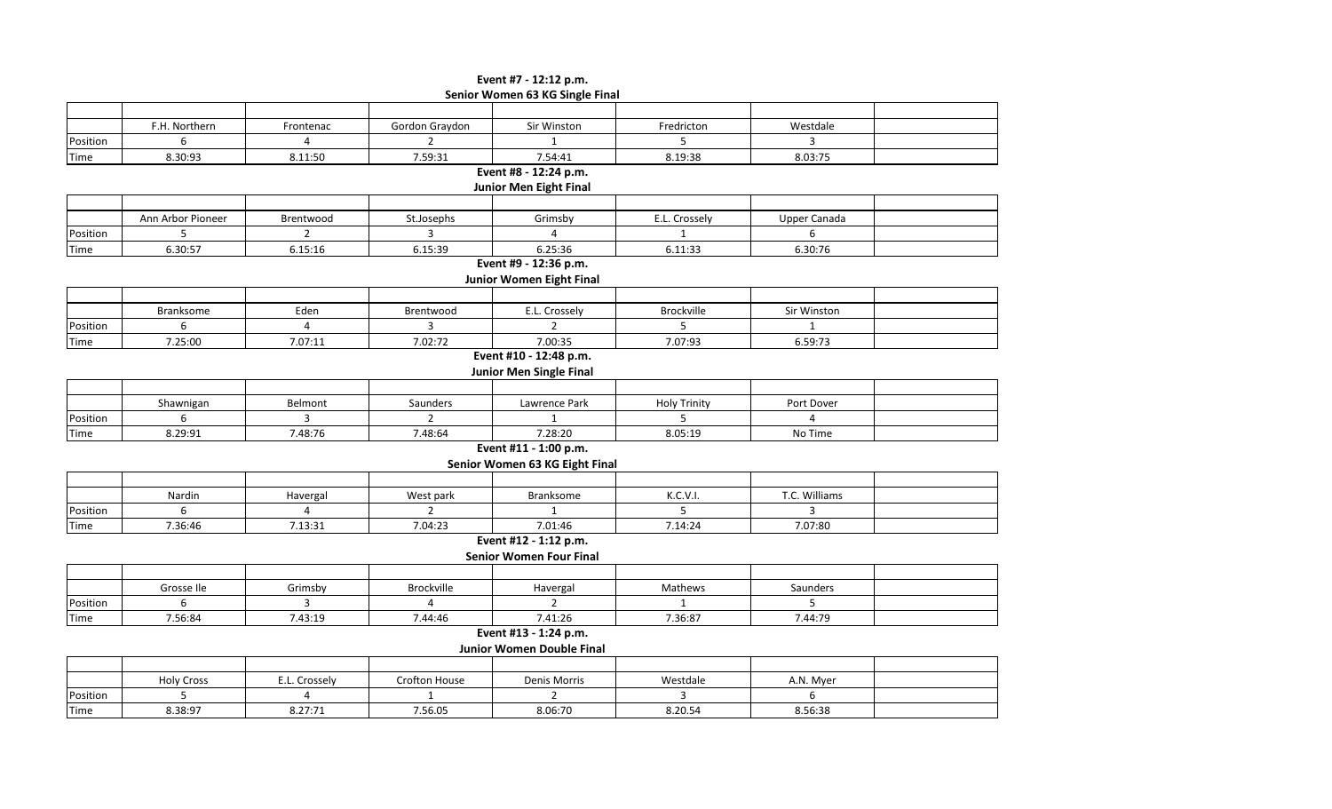# **Senior Women 63 KG Single Final Event #7 - 12:12 p.m.**

|          | F.H. Northern     | Frontenac      | Gordon Graydon       | Sir Winston                      | Fredricton          | Westdale            |  |
|----------|-------------------|----------------|----------------------|----------------------------------|---------------------|---------------------|--|
| Position | 6                 | 4              | $\overline{2}$       | $\mathbf{1}$                     | 5                   | 3                   |  |
| Time     | 8.30:93           | 8.11:50        | 7.59:31              | 7.54:41                          | 8.19:38             | 8.03:75             |  |
|          |                   |                |                      | Event #8 - 12:24 p.m.            |                     |                     |  |
|          |                   |                |                      | <b>Junior Men Eight Final</b>    |                     |                     |  |
|          |                   |                |                      |                                  |                     |                     |  |
|          | Ann Arbor Pioneer | Brentwood      | St.Josephs           | Grimsby                          | E.L. Crossely       | <b>Upper Canada</b> |  |
| Position | 5                 | $\overline{2}$ | $\overline{3}$       | 4                                | $\mathbf{1}$        | 6                   |  |
| Time     | 6.30:57           | 6.15:16        | 6.15:39              | 6.25:36                          | 6.11:33             | 6.30:76             |  |
|          |                   |                |                      | Event #9 - 12:36 p.m.            |                     |                     |  |
|          |                   |                |                      | Junior Women Eight Final         |                     |                     |  |
|          |                   |                |                      |                                  |                     |                     |  |
|          | <b>Branksome</b>  | Eden           | Brentwood            | E.L. Crossely                    | Brockville          | Sir Winston         |  |
| Position | 6                 | $\overline{4}$ | $\overline{3}$       | $\mathcal{P}$                    | 5                   | $\mathbf{1}$        |  |
| Time     | 7.25:00           | 7.07:11        | 7.02:72              | 7.00:35                          | 7.07:93             | 6.59:73             |  |
|          |                   |                |                      | Event #10 - 12:48 p.m.           |                     |                     |  |
|          |                   |                |                      | <b>Junior Men Single Final</b>   |                     |                     |  |
|          |                   |                |                      |                                  |                     |                     |  |
|          | Shawnigan         | Belmont        | Saunders             | Lawrence Park                    | <b>Holy Trinity</b> | Port Dover          |  |
| Position | 6                 | 3              | $\overline{2}$       | $\mathbf{1}$                     | 5                   | 4                   |  |
| Time     | 8.29:91           | 7.48:76        | 7.48:64              | 7.28:20                          | 8.05:19             | No Time             |  |
|          |                   |                |                      | Event #11 - 1:00 p.m.            |                     |                     |  |
|          |                   |                |                      | Senior Women 63 KG Eight Final   |                     |                     |  |
|          |                   |                |                      |                                  |                     |                     |  |
|          | Nardin            | Havergal       | West park            | <b>Branksome</b>                 | K.C.V.I.            | T.C. Williams       |  |
| Position | 6                 | 4              | $\overline{2}$       | $\mathbf{1}$                     |                     | $\overline{3}$      |  |
| Time     | 7.36:46           | 7.13:31        | 7.04:23              | 7.01:46                          | 7.14:24             | 7.07:80             |  |
|          |                   |                |                      | Event #12 - 1:12 p.m.            |                     |                     |  |
|          |                   |                |                      | <b>Senior Women Four Final</b>   |                     |                     |  |
|          |                   |                |                      |                                  |                     |                     |  |
|          | Grosse Ile        | Grimsby        | Brockville           | Havergal                         | Mathews             | Saunders            |  |
| Position | 6                 | $\overline{3}$ | $\Delta$             | $\overline{2}$                   | $\mathbf{1}$        | 5                   |  |
| Time     | 7.56:84           | 7.43:19        | 7.44:46              | 7.41:26                          | 7.36:87             | 7.44:79             |  |
|          |                   |                |                      | Event #13 - 1:24 p.m.            |                     |                     |  |
|          |                   |                |                      | <b>Junior Women Double Final</b> |                     |                     |  |
|          |                   |                |                      |                                  |                     |                     |  |
|          | <b>Holy Cross</b> | E.L. Crossely  | <b>Crofton House</b> | Denis Morris                     | Westdale            | A.N. Myer           |  |
| Position | 5                 | 4              | $\mathbf{1}$         | $\overline{2}$                   | 3                   | 6                   |  |
| Time     | 8.38:97           | 8.27:71        | 7.56.05              | 8.06:70                          | 8.20.54             | 8.56:38             |  |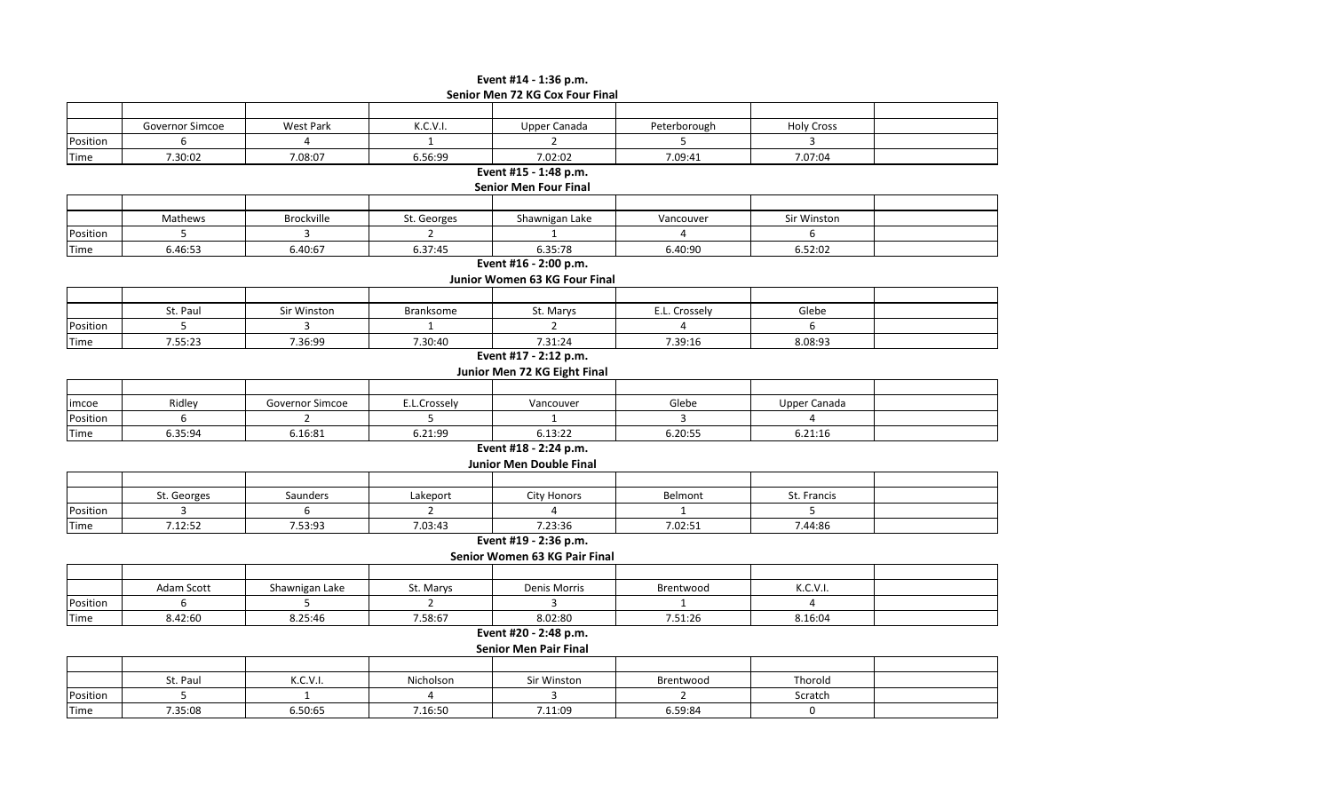## **Event #14 - 1:36 p.m. Senior Men 72 KG Cox Four Final**

|          | Governor Simcoe | West Park       | K.C.V.I.         | Upper Canada                   | Peterborough   | <b>Holy Cross</b>   |  |
|----------|-----------------|-----------------|------------------|--------------------------------|----------------|---------------------|--|
| Position | 6               | $\overline{4}$  | $\mathbf 1$      | $\overline{2}$                 | 5              | 3                   |  |
| Time     | 7.30:02         | 7.08:07         | 6.56:99          | 7.02:02                        | 7.09:41        | 7.07:04             |  |
|          |                 |                 |                  | Event #15 - 1:48 p.m.          |                |                     |  |
|          |                 |                 |                  | <b>Senior Men Four Final</b>   |                |                     |  |
|          |                 |                 |                  |                                |                |                     |  |
|          | Mathews         | Brockville      | St. Georges      | Shawnigan Lake                 | Vancouver      | Sir Winston         |  |
| Position | 5               | 3               | $\overline{2}$   | 1                              | $\overline{4}$ | 6                   |  |
| Time     | 6.46:53         | 6.40:67         | 6.37:45          | 6.35:78                        | 6.40:90        | 6.52:02             |  |
|          |                 |                 |                  | Event #16 - 2:00 p.m.          |                |                     |  |
|          |                 |                 |                  | Junior Women 63 KG Four Final  |                |                     |  |
|          |                 |                 |                  |                                |                |                     |  |
|          | St. Paul        | Sir Winston     | <b>Branksome</b> | St. Marys                      | E.L. Crossely  | Glebe               |  |
| Position | 5               | $\overline{3}$  | $\mathbf{1}$     | $\overline{2}$                 | 4              | 6                   |  |
| Time     | 7.55:23         | 7.36:99         | 7.30:40          | 7.31:24                        | 7.39:16        | 8.08:93             |  |
|          |                 |                 |                  | Event #17 - 2:12 p.m.          |                |                     |  |
|          |                 |                 |                  | Junior Men 72 KG Eight Final   |                |                     |  |
|          |                 |                 |                  |                                |                |                     |  |
| imcoe    | Ridley          | Governor Simcoe | E.L.Crossely     | Vancouver                      | Glebe          | <b>Upper Canada</b> |  |
| Position | 6               | $\overline{2}$  | 5                | 1                              | 3              | $\overline{4}$      |  |
| Time     | 6.35:94         | 6.16:81         | 6.21:99          | 6.13:22                        | 6.20:55        | 6.21:16             |  |
|          |                 |                 |                  | Event #18 - 2:24 p.m.          |                |                     |  |
|          |                 |                 |                  | <b>Junior Men Double Final</b> |                |                     |  |
|          |                 |                 |                  |                                |                |                     |  |
|          | St. Georges     | Saunders        | Lakeport         | <b>City Honors</b>             | Belmont        | St. Francis         |  |
| Position | $\overline{3}$  | 6               | $\overline{2}$   | 4                              |                | 5                   |  |
| Time     | 7.12:52         | 7.53:93         | 7.03:43          | 7.23:36                        | 7.02:51        | 7.44:86             |  |
|          |                 |                 |                  | Event #19 - 2:36 p.m.          |                |                     |  |
|          |                 |                 |                  | Senior Women 63 KG Pair Final  |                |                     |  |
|          |                 |                 |                  |                                |                |                     |  |
|          | Adam Scott      | Shawnigan Lake  | St. Marys        | Denis Morris                   | Brentwood      | K.C.V.I.            |  |
| Position | 6               | 5               | $\overline{2}$   | 3                              | 1              | 4                   |  |
| Time     | 8.42:60         | 8.25:46         | 7.58:67          | 8.02:80                        | 7.51:26        | 8.16:04             |  |
|          |                 |                 |                  | Event #20 - 2:48 p.m.          |                |                     |  |
|          |                 |                 |                  | <b>Senior Men Pair Final</b>   |                |                     |  |
|          |                 |                 |                  |                                |                |                     |  |
|          | St. Paul        | K.C.V.I.        | Nicholson        | Sir Winston                    | Brentwood      | Thorold             |  |
| Position | 5               | $\mathbf{1}$    | 4                | 3                              | $\overline{2}$ | Scratch             |  |

Time | 7.35:08 | 6.50:65 | 7.16:50 | 7.11:09 | 6.59:84 | 0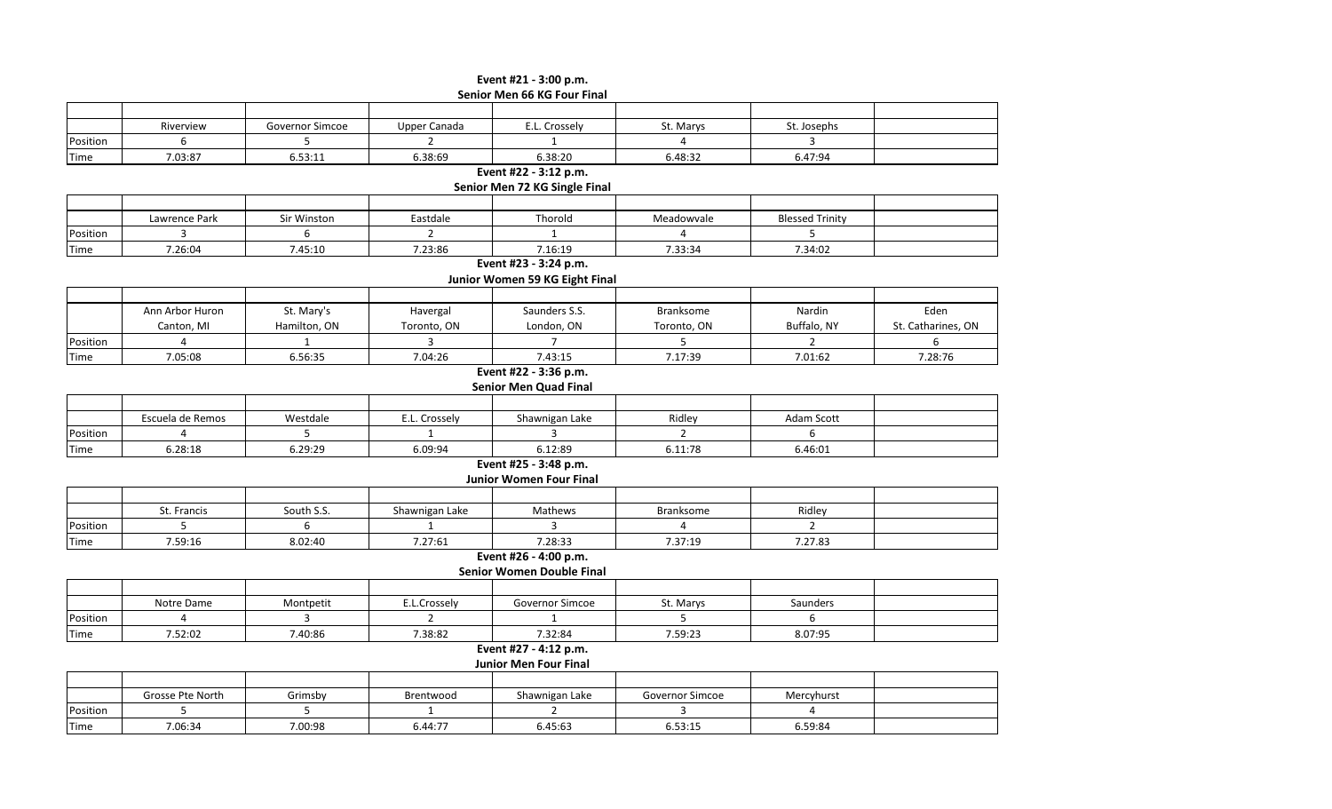#### **Event #21 - 3:00 p.m. Senior Men 66 KG Four Final**

| ___<br>.    |           |                 |                      |               |           |             |  |  |  |
|-------------|-----------|-----------------|----------------------|---------------|-----------|-------------|--|--|--|
|             |           |                 |                      |               |           |             |  |  |  |
|             | Riverview | Governor Simcoe | Upper Canada         | E.L. Crossely | St. Marys | St. Josephs |  |  |  |
| Position    |           |                 |                      |               |           |             |  |  |  |
| <b>Time</b> | 7.03:87   | 6.53:11         | 6.38:69              | 6.38:20       | 6.48:32   | 6.47:94     |  |  |  |
|             |           |                 | $\sim$ $\sim$ $\sim$ | .             |           |             |  |  |  |

**Event #22 - 3:12 p.m.**

**Senior Men 72 KG Single Final**

|          | Lawrence Park | Sir Winston | Eastdale | Thorold | Meadowvale | <b>Blessed Trinity</b> |  |  |  |
|----------|---------------|-------------|----------|---------|------------|------------------------|--|--|--|
| Position |               |             |          |         |            |                        |  |  |  |
| Time     | 7.26:04       | 7.45:10     | 7.23:86  | 7.16:19 | 7.33:34    | 7.34:02                |  |  |  |

# **Event #23 - 3:24 p.m.**

#### **Junior Women 59 KG Eight Final**

|          | Ann Arbor Huron | St. Mary's   | Havergal    | Saunders S.S. | <b>Branksome</b> | Nardin      | Eden               |
|----------|-----------------|--------------|-------------|---------------|------------------|-------------|--------------------|
|          | Canton. MI      | Hamilton, ON | Toronto, ON | London, ON    | Toronto, ON      | Buffalo. NY | St. Catharines, ON |
| Position |                 |              |             |               |                  |             |                    |
| Time     | 7.05:08         | 6.56:35      | 7.04:26     | 7.43:15       | 7.17:39          | 7.01:62     | 7.28:76            |

#### **Event #22 - 3:36 p.m. Senior Men Quad Final**

|          | Escuela de Remos | Westdale | E.L. Crossely | Shawnigan Lake | Ridley  | Adam Scott |  |  |  |  |
|----------|------------------|----------|---------------|----------------|---------|------------|--|--|--|--|
| Position |                  |          |               |                |         |            |  |  |  |  |
| Time     | 6.28:18          | 6.29:29  | 6.09:94       | 6.12:89        | 6.11:78 | 6.46:01    |  |  |  |  |

# **Event #25 - 3:48 p.m.**

**Junior Women Four Final**

|          | St. Francis | South S.S. | Shawnigan Lake | Mathews | Branksome | Ridley  |  |
|----------|-------------|------------|----------------|---------|-----------|---------|--|
| Position |             |            |                |         |           |         |  |
| Time     | 7.59:16     | 8.02:40    | 7.27:61        | 7.28:33 | 7.37:19   | 7.27.83 |  |

# **Event #26 - 4:00 p.m.**

| Senior Women Double Final |            |           |              |                 |           |          |  |  |  |
|---------------------------|------------|-----------|--------------|-----------------|-----------|----------|--|--|--|
|                           |            |           |              |                 |           |          |  |  |  |
|                           | Notre Dame | Montpetit | E.L.Crosselv | Governor Simcoe | St. Marys | Saunders |  |  |  |
| Position                  |            |           |              |                 |           |          |  |  |  |
| Time                      | 7.52:02    | 7.40:86   | 7.38:82      | 7.32:84         | 7.59:23   | 8.07:95  |  |  |  |

#### **Event #27 - 4:12 p.m.**

**Junior Men Four Final**

|             | Grosse Pte North | Grimsby | Brentwood | Shawnigan Lake | Governor Simcoe | Mercyhurst |  |
|-------------|------------------|---------|-----------|----------------|-----------------|------------|--|
| Position    |                  |         |           |                |                 |            |  |
| <b>Time</b> | 7.06:34          | 7.00:98 | 6.44:77   | 6.45:63        | 6.53:15         | 6.59:84    |  |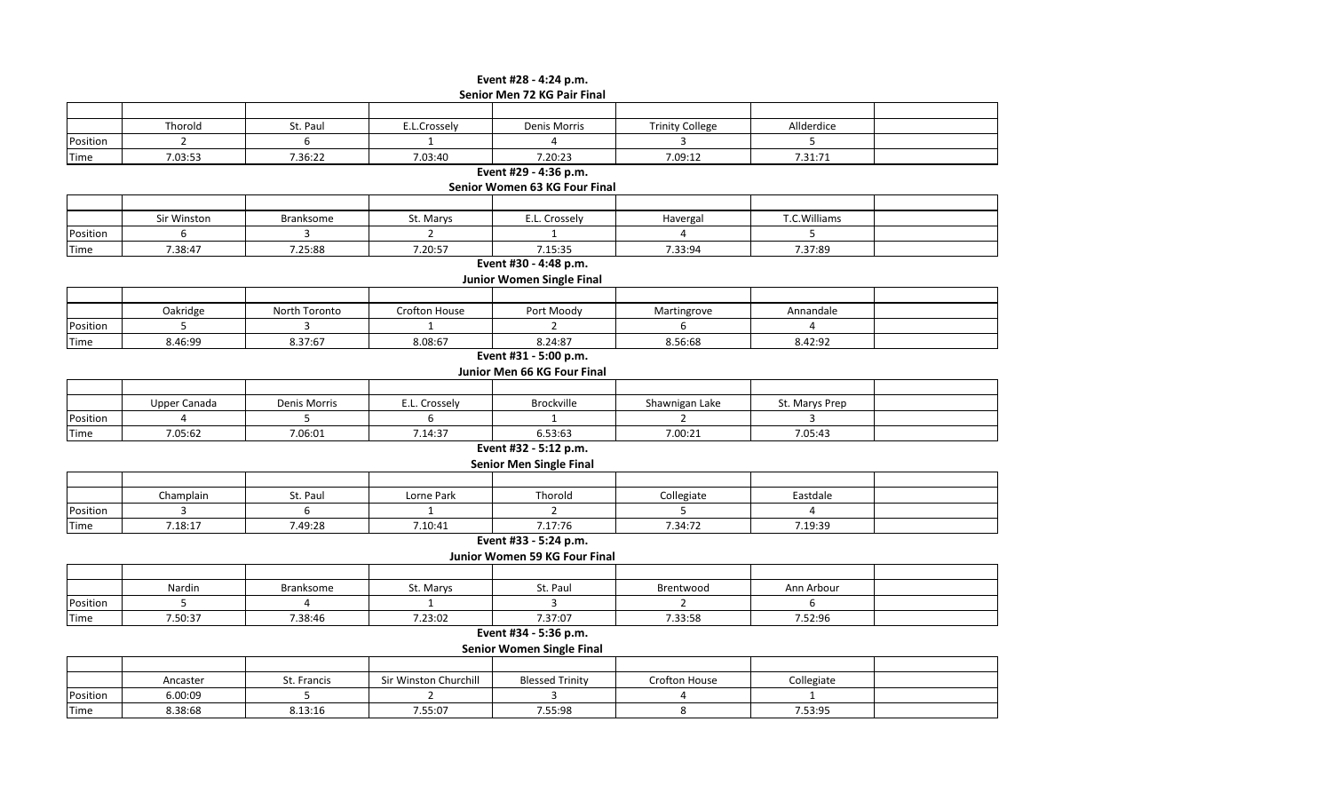## **Senior Men 72 KG Pair Final Event #28 - 4:24 p.m.**

| Thorold        | St. Paul                                                                                                         | E.L.Crossely                                                                        | <b>Denis Morris</b>                                                                                                                                                              | <b>Trinity College</b>                                                                                                                                                                                                                                                                                                                                                                                                                                                                                                        | Allderdice                                                                                                                                   |                                                                                                                               |
|----------------|------------------------------------------------------------------------------------------------------------------|-------------------------------------------------------------------------------------|----------------------------------------------------------------------------------------------------------------------------------------------------------------------------------|-------------------------------------------------------------------------------------------------------------------------------------------------------------------------------------------------------------------------------------------------------------------------------------------------------------------------------------------------------------------------------------------------------------------------------------------------------------------------------------------------------------------------------|----------------------------------------------------------------------------------------------------------------------------------------------|-------------------------------------------------------------------------------------------------------------------------------|
| $\overline{2}$ | 6                                                                                                                | $\mathbf{1}$                                                                        | 4                                                                                                                                                                                | 3                                                                                                                                                                                                                                                                                                                                                                                                                                                                                                                             | 5                                                                                                                                            |                                                                                                                               |
| 7.03:53        | 7.36:22                                                                                                          | 7.03:40                                                                             | 7.20:23                                                                                                                                                                          | 7.09:12                                                                                                                                                                                                                                                                                                                                                                                                                                                                                                                       | 7.31:71                                                                                                                                      |                                                                                                                               |
|                |                                                                                                                  |                                                                                     |                                                                                                                                                                                  |                                                                                                                                                                                                                                                                                                                                                                                                                                                                                                                               |                                                                                                                                              |                                                                                                                               |
|                |                                                                                                                  |                                                                                     |                                                                                                                                                                                  |                                                                                                                                                                                                                                                                                                                                                                                                                                                                                                                               |                                                                                                                                              |                                                                                                                               |
|                |                                                                                                                  |                                                                                     |                                                                                                                                                                                  |                                                                                                                                                                                                                                                                                                                                                                                                                                                                                                                               |                                                                                                                                              |                                                                                                                               |
| Sir Winston    | <b>Branksome</b>                                                                                                 | St. Marys                                                                           | E.L. Crossely                                                                                                                                                                    | Havergal                                                                                                                                                                                                                                                                                                                                                                                                                                                                                                                      | T.C.Williams                                                                                                                                 |                                                                                                                               |
| 6              | $\overline{3}$                                                                                                   | $\overline{2}$                                                                      | $\mathbf{1}$                                                                                                                                                                     | 4                                                                                                                                                                                                                                                                                                                                                                                                                                                                                                                             | 5                                                                                                                                            |                                                                                                                               |
| 7.38:47        |                                                                                                                  |                                                                                     | 7.15:35                                                                                                                                                                          |                                                                                                                                                                                                                                                                                                                                                                                                                                                                                                                               |                                                                                                                                              |                                                                                                                               |
|                |                                                                                                                  |                                                                                     |                                                                                                                                                                                  |                                                                                                                                                                                                                                                                                                                                                                                                                                                                                                                               |                                                                                                                                              |                                                                                                                               |
|                |                                                                                                                  |                                                                                     |                                                                                                                                                                                  |                                                                                                                                                                                                                                                                                                                                                                                                                                                                                                                               |                                                                                                                                              |                                                                                                                               |
|                |                                                                                                                  |                                                                                     |                                                                                                                                                                                  |                                                                                                                                                                                                                                                                                                                                                                                                                                                                                                                               |                                                                                                                                              |                                                                                                                               |
|                | North Toronto                                                                                                    |                                                                                     |                                                                                                                                                                                  |                                                                                                                                                                                                                                                                                                                                                                                                                                                                                                                               |                                                                                                                                              |                                                                                                                               |
|                | 3                                                                                                                | $\mathbf{1}$                                                                        | $\overline{2}$                                                                                                                                                                   | 6                                                                                                                                                                                                                                                                                                                                                                                                                                                                                                                             | $\overline{4}$                                                                                                                               |                                                                                                                               |
| 8.46:99        | 8.37:67                                                                                                          | 8.08:67                                                                             |                                                                                                                                                                                  | 8.56:68                                                                                                                                                                                                                                                                                                                                                                                                                                                                                                                       | 8.42:92                                                                                                                                      |                                                                                                                               |
|                |                                                                                                                  |                                                                                     |                                                                                                                                                                                  |                                                                                                                                                                                                                                                                                                                                                                                                                                                                                                                               |                                                                                                                                              |                                                                                                                               |
|                |                                                                                                                  |                                                                                     |                                                                                                                                                                                  |                                                                                                                                                                                                                                                                                                                                                                                                                                                                                                                               |                                                                                                                                              |                                                                                                                               |
|                |                                                                                                                  |                                                                                     |                                                                                                                                                                                  |                                                                                                                                                                                                                                                                                                                                                                                                                                                                                                                               |                                                                                                                                              |                                                                                                                               |
|                | Denis Morris                                                                                                     |                                                                                     |                                                                                                                                                                                  |                                                                                                                                                                                                                                                                                                                                                                                                                                                                                                                               | St. Marys Prep                                                                                                                               |                                                                                                                               |
| 4              | 5                                                                                                                |                                                                                     | $\mathbf{1}$                                                                                                                                                                     | $\overline{2}$                                                                                                                                                                                                                                                                                                                                                                                                                                                                                                                | 3                                                                                                                                            |                                                                                                                               |
|                |                                                                                                                  |                                                                                     |                                                                                                                                                                                  |                                                                                                                                                                                                                                                                                                                                                                                                                                                                                                                               | 7.05:43                                                                                                                                      |                                                                                                                               |
|                |                                                                                                                  |                                                                                     |                                                                                                                                                                                  |                                                                                                                                                                                                                                                                                                                                                                                                                                                                                                                               |                                                                                                                                              |                                                                                                                               |
|                |                                                                                                                  |                                                                                     |                                                                                                                                                                                  |                                                                                                                                                                                                                                                                                                                                                                                                                                                                                                                               |                                                                                                                                              |                                                                                                                               |
|                |                                                                                                                  |                                                                                     |                                                                                                                                                                                  |                                                                                                                                                                                                                                                                                                                                                                                                                                                                                                                               |                                                                                                                                              |                                                                                                                               |
|                | St. Paul                                                                                                         |                                                                                     |                                                                                                                                                                                  |                                                                                                                                                                                                                                                                                                                                                                                                                                                                                                                               |                                                                                                                                              |                                                                                                                               |
| $\overline{3}$ | 6                                                                                                                | $1\,$                                                                               |                                                                                                                                                                                  | 5                                                                                                                                                                                                                                                                                                                                                                                                                                                                                                                             |                                                                                                                                              |                                                                                                                               |
|                |                                                                                                                  |                                                                                     |                                                                                                                                                                                  |                                                                                                                                                                                                                                                                                                                                                                                                                                                                                                                               |                                                                                                                                              |                                                                                                                               |
|                |                                                                                                                  |                                                                                     |                                                                                                                                                                                  |                                                                                                                                                                                                                                                                                                                                                                                                                                                                                                                               |                                                                                                                                              |                                                                                                                               |
|                |                                                                                                                  |                                                                                     |                                                                                                                                                                                  |                                                                                                                                                                                                                                                                                                                                                                                                                                                                                                                               |                                                                                                                                              |                                                                                                                               |
|                |                                                                                                                  |                                                                                     |                                                                                                                                                                                  |                                                                                                                                                                                                                                                                                                                                                                                                                                                                                                                               |                                                                                                                                              |                                                                                                                               |
|                |                                                                                                                  |                                                                                     |                                                                                                                                                                                  |                                                                                                                                                                                                                                                                                                                                                                                                                                                                                                                               |                                                                                                                                              |                                                                                                                               |
|                |                                                                                                                  |                                                                                     |                                                                                                                                                                                  |                                                                                                                                                                                                                                                                                                                                                                                                                                                                                                                               |                                                                                                                                              |                                                                                                                               |
|                | 7.38:46                                                                                                          |                                                                                     |                                                                                                                                                                                  |                                                                                                                                                                                                                                                                                                                                                                                                                                                                                                                               |                                                                                                                                              |                                                                                                                               |
|                |                                                                                                                  |                                                                                     |                                                                                                                                                                                  |                                                                                                                                                                                                                                                                                                                                                                                                                                                                                                                               |                                                                                                                                              |                                                                                                                               |
|                |                                                                                                                  |                                                                                     |                                                                                                                                                                                  |                                                                                                                                                                                                                                                                                                                                                                                                                                                                                                                               |                                                                                                                                              |                                                                                                                               |
|                |                                                                                                                  |                                                                                     |                                                                                                                                                                                  |                                                                                                                                                                                                                                                                                                                                                                                                                                                                                                                               |                                                                                                                                              |                                                                                                                               |
| Ancaster       | St. Francis                                                                                                      |                                                                                     |                                                                                                                                                                                  |                                                                                                                                                                                                                                                                                                                                                                                                                                                                                                                               |                                                                                                                                              |                                                                                                                               |
|                |                                                                                                                  |                                                                                     |                                                                                                                                                                                  | 4                                                                                                                                                                                                                                                                                                                                                                                                                                                                                                                             | $\mathbf{1}$                                                                                                                                 |                                                                                                                               |
|                |                                                                                                                  |                                                                                     |                                                                                                                                                                                  |                                                                                                                                                                                                                                                                                                                                                                                                                                                                                                                               |                                                                                                                                              |                                                                                                                               |
|                | Oakridge<br>5<br>Upper Canada<br>7.05:62<br>Champlain<br>7.18:17<br>Nardin<br>5<br>7.50:37<br>6.00:09<br>8.38:68 | 7.25:88<br>7.06:01<br>7.49:28<br><b>Branksome</b><br>$\overline{4}$<br>5<br>8.13:16 | 7.20:57<br>Crofton House<br>E.L. Crossely<br>6<br>7.14:37<br>Lorne Park<br>7.10:41<br>St. Marys<br>$\mathbf{1}$<br>7.23:02<br>Sir Winston Churchill<br>$\overline{2}$<br>7.55:07 | Event #29 - 4:36 p.m.<br>Senior Women 63 KG Four Final<br>Event #30 - 4:48 p.m.<br><b>Junior Women Single Final</b><br>Port Moody<br>8.24:87<br>Event #31 - 5:00 p.m.<br>Junior Men 66 KG Four Final<br>Brockville<br>6.53:63<br>Event #32 - 5:12 p.m.<br><b>Senior Men Single Final</b><br>Thorold<br>$\overline{2}$<br>7.17:76<br>Event #33 - 5:24 p.m.<br>Junior Women 59 KG Four Final<br>St. Paul<br>3<br>7.37:07<br>Event #34 - 5:36 p.m.<br><b>Senior Women Single Final</b><br><b>Blessed Trinity</b><br>3<br>7.55:98 | 7.33:94<br>Martingrove<br>Shawnigan Lake<br>7.00:21<br>Collegiate<br>7.34:72<br>Brentwood<br>$\overline{2}$<br>7.33:58<br>Crofton House<br>8 | 7.37:89<br>Annandale<br>Eastdale<br>$\overline{\mathbf{4}}$<br>7.19:39<br>Ann Arbour<br>6<br>7.52:96<br>Collegiate<br>7.53:95 |